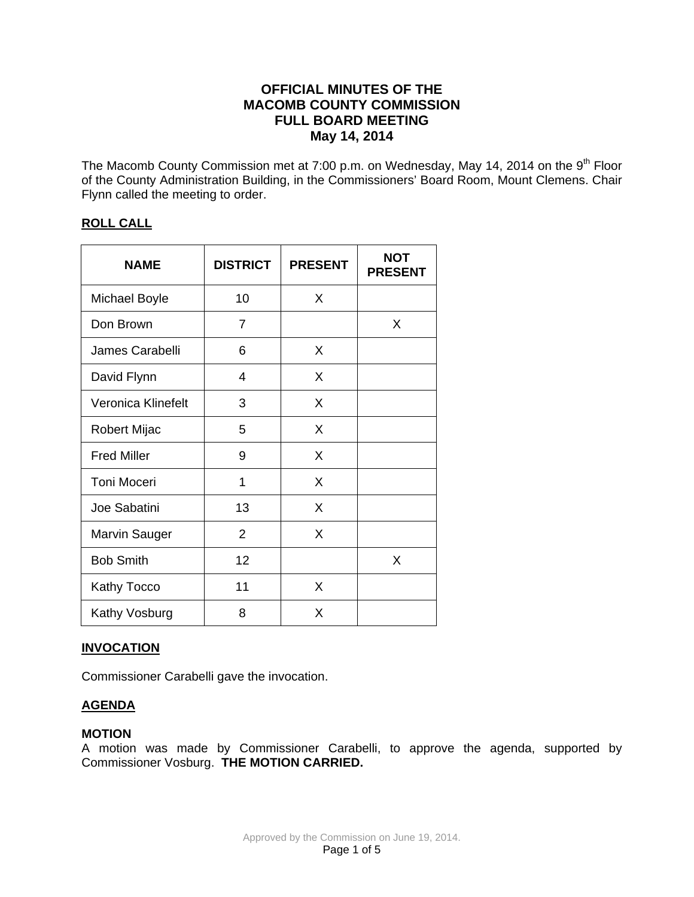## **OFFICIAL MINUTES OF THE MACOMB COUNTY COMMISSION FULL BOARD MEETING May 14, 2014**

The Macomb County Commission met at 7:00 p.m. on Wednesday, May 14, 2014 on the 9<sup>th</sup> Floor of the County Administration Building, in the Commissioners' Board Room, Mount Clemens. Chair Flynn called the meeting to order.

## **ROLL CALL**

| <b>NAME</b>          | <b>DISTRICT</b> | <b>PRESENT</b> | <b>NOT</b><br><b>PRESENT</b> |
|----------------------|-----------------|----------------|------------------------------|
| <b>Michael Boyle</b> | 10              | X              |                              |
| Don Brown            | 7               |                | X                            |
| James Carabelli      | 6               | X              |                              |
| David Flynn          | 4               | X              |                              |
| Veronica Klinefelt   | 3               | X              |                              |
| Robert Mijac         | 5               | X              |                              |
| <b>Fred Miller</b>   | 9               | X              |                              |
| <b>Toni Moceri</b>   | 1               | X              |                              |
| Joe Sabatini         | 13              | X              |                              |
| <b>Marvin Sauger</b> | $\overline{2}$  | X              |                              |
| <b>Bob Smith</b>     | 12              |                | X                            |
| Kathy Tocco          | 11              | X              |                              |
| Kathy Vosburg        | 8               | X              |                              |

### **INVOCATION**

Commissioner Carabelli gave the invocation.

### **AGENDA**

#### **MOTION**

A motion was made by Commissioner Carabelli, to approve the agenda, supported by Commissioner Vosburg. **THE MOTION CARRIED.**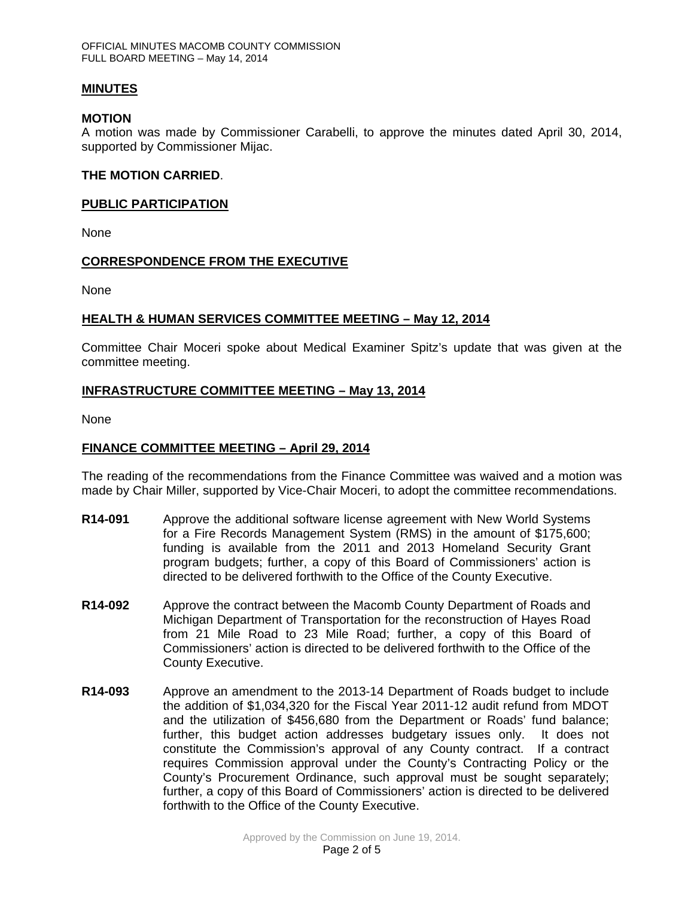#### **MINUTES**

#### **MOTION**

A motion was made by Commissioner Carabelli, to approve the minutes dated April 30, 2014, supported by Commissioner Mijac.

#### **THE MOTION CARRIED**.

#### **PUBLIC PARTICIPATION**

None

#### **CORRESPONDENCE FROM THE EXECUTIVE**

None

#### **HEALTH & HUMAN SERVICES COMMITTEE MEETING – May 12, 2014**

Committee Chair Moceri spoke about Medical Examiner Spitz's update that was given at the committee meeting.

#### **INFRASTRUCTURE COMMITTEE MEETING – May 13, 2014**

None

### **FINANCE COMMITTEE MEETING – April 29, 2014**

The reading of the recommendations from the Finance Committee was waived and a motion was made by Chair Miller, supported by Vice-Chair Moceri, to adopt the committee recommendations.

- **R14-091** Approve the additional software license agreement with New World Systems for a Fire Records Management System (RMS) in the amount of \$175,600; funding is available from the 2011 and 2013 Homeland Security Grant program budgets; further, a copy of this Board of Commissioners' action is directed to be delivered forthwith to the Office of the County Executive.
- **R14-092** Approve the contract between the Macomb County Department of Roads and Michigan Department of Transportation for the reconstruction of Hayes Road from 21 Mile Road to 23 Mile Road; further, a copy of this Board of Commissioners' action is directed to be delivered forthwith to the Office of the County Executive.
- **R14-093** Approve an amendment to the 2013-14 Department of Roads budget to include the addition of \$1,034,320 for the Fiscal Year 2011-12 audit refund from MDOT and the utilization of \$456,680 from the Department or Roads' fund balance; further, this budget action addresses budgetary issues only. It does not constitute the Commission's approval of any County contract. If a contract requires Commission approval under the County's Contracting Policy or the County's Procurement Ordinance, such approval must be sought separately; further, a copy of this Board of Commissioners' action is directed to be delivered forthwith to the Office of the County Executive.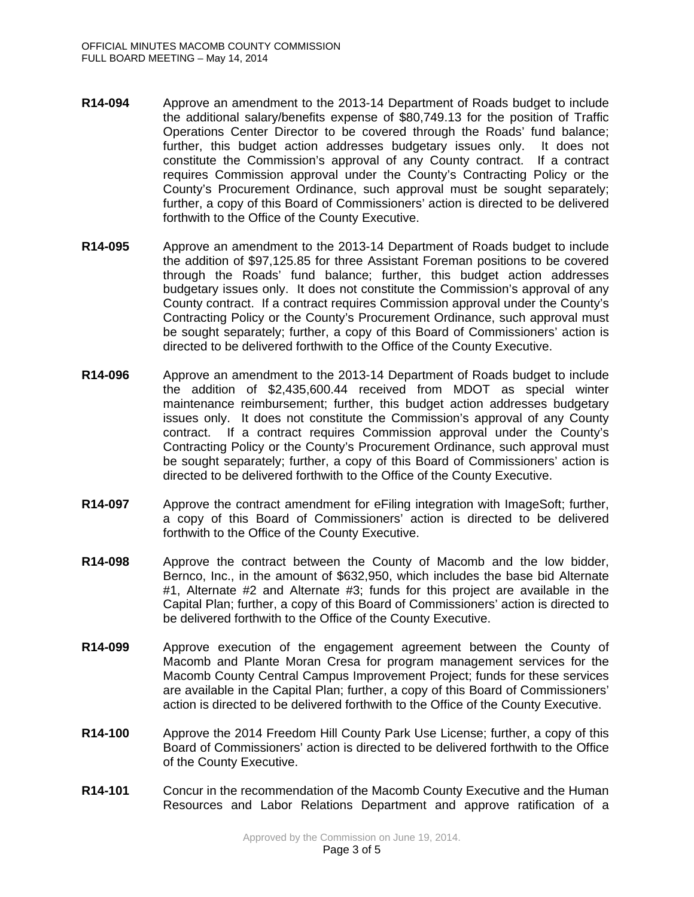- **R14-094** Approve an amendment to the 2013-14 Department of Roads budget to include the additional salary/benefits expense of \$80,749.13 for the position of Traffic Operations Center Director to be covered through the Roads' fund balance; further, this budget action addresses budgetary issues only. It does not constitute the Commission's approval of any County contract. If a contract requires Commission approval under the County's Contracting Policy or the County's Procurement Ordinance, such approval must be sought separately; further, a copy of this Board of Commissioners' action is directed to be delivered forthwith to the Office of the County Executive.
- **R14-095** Approve an amendment to the 2013-14 Department of Roads budget to include the addition of \$97,125.85 for three Assistant Foreman positions to be covered through the Roads' fund balance; further, this budget action addresses budgetary issues only. It does not constitute the Commission's approval of any County contract. If a contract requires Commission approval under the County's Contracting Policy or the County's Procurement Ordinance, such approval must be sought separately; further, a copy of this Board of Commissioners' action is directed to be delivered forthwith to the Office of the County Executive.
- **R14-096** Approve an amendment to the 2013-14 Department of Roads budget to include the addition of \$2,435,600.44 received from MDOT as special winter maintenance reimbursement; further, this budget action addresses budgetary issues only. It does not constitute the Commission's approval of any County contract. If a contract requires Commission approval under the County's Contracting Policy or the County's Procurement Ordinance, such approval must be sought separately; further, a copy of this Board of Commissioners' action is directed to be delivered forthwith to the Office of the County Executive.
- **R14-097** Approve the contract amendment for eFiling integration with ImageSoft; further, a copy of this Board of Commissioners' action is directed to be delivered forthwith to the Office of the County Executive.
- **R14-098** Approve the contract between the County of Macomb and the low bidder, Bernco, Inc., in the amount of \$632,950, which includes the base bid Alternate #1, Alternate #2 and Alternate #3; funds for this project are available in the Capital Plan; further, a copy of this Board of Commissioners' action is directed to be delivered forthwith to the Office of the County Executive.
- **R14-099** Approve execution of the engagement agreement between the County of Macomb and Plante Moran Cresa for program management services for the Macomb County Central Campus Improvement Project; funds for these services are available in the Capital Plan; further, a copy of this Board of Commissioners' action is directed to be delivered forthwith to the Office of the County Executive.
- **R14-100** Approve the 2014 Freedom Hill County Park Use License; further, a copy of this Board of Commissioners' action is directed to be delivered forthwith to the Office of the County Executive.
- **R14-101** Concur in the recommendation of the Macomb County Executive and the Human Resources and Labor Relations Department and approve ratification of a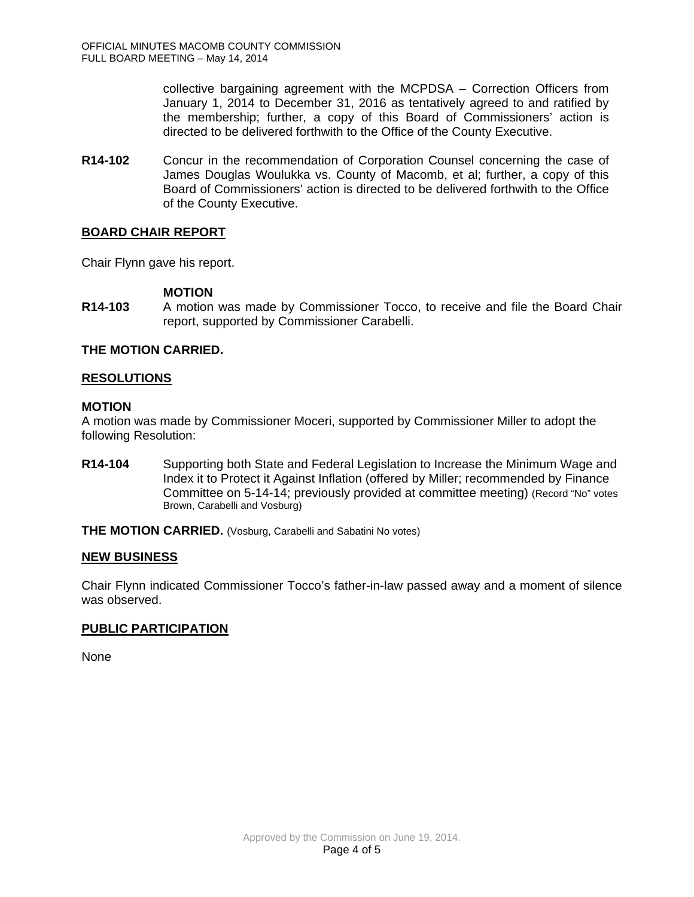collective bargaining agreement with the MCPDSA – Correction Officers from January 1, 2014 to December 31, 2016 as tentatively agreed to and ratified by the membership; further, a copy of this Board of Commissioners' action is directed to be delivered forthwith to the Office of the County Executive.

**R14-102** Concur in the recommendation of Corporation Counsel concerning the case of James Douglas Woulukka vs. County of Macomb, et al; further, a copy of this Board of Commissioners' action is directed to be delivered forthwith to the Office of the County Executive.

### **BOARD CHAIR REPORT**

Chair Flynn gave his report.

### **MOTION**

**R14-103** A motion was made by Commissioner Tocco, to receive and file the Board Chair report, supported by Commissioner Carabelli.

## **THE MOTION CARRIED.**

### **RESOLUTIONS**

### **MOTION**

A motion was made by Commissioner Moceri, supported by Commissioner Miller to adopt the following Resolution:

**R14-104** Supporting both State and Federal Legislation to Increase the Minimum Wage and Index it to Protect it Against Inflation (offered by Miller; recommended by Finance Committee on 5-14-14; previously provided at committee meeting) (Record "No" votes Brown, Carabelli and Vosburg)

**THE MOTION CARRIED.** (Vosburg, Carabelli and Sabatini No votes)

### **NEW BUSINESS**

Chair Flynn indicated Commissioner Tocco's father-in-law passed away and a moment of silence was observed.

### **PUBLIC PARTICIPATION**

None